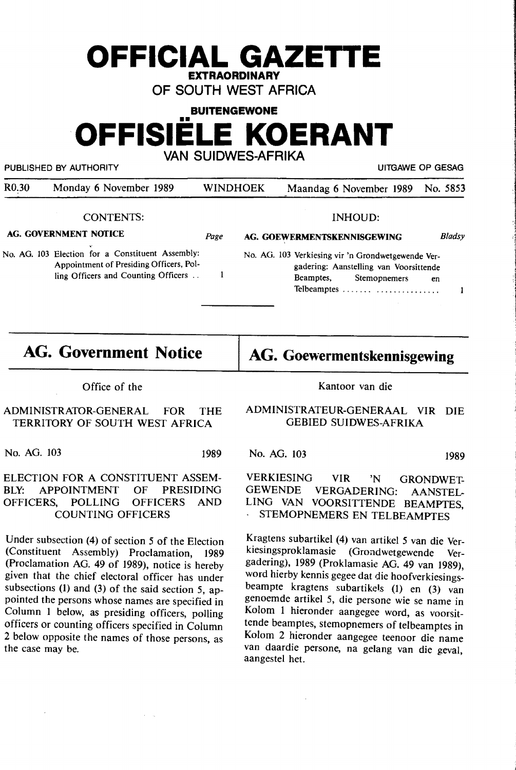## **OFFICIAL GAZETTE**

**EXTRAORDINARY** 

**OF SOUTH WEST AFRICA** 

**BUITENGEWONE** 

# **·OFFISIELE KOERANT**

**VAN SUIDWES-AFRIKA** 

PUBLISHED BY AUTHORITY **AUTHORITY EXAGE ASSAULT ASSAULT** AND THE UITGAWE OP GESAG

| R <sub>0.30</sub>     | Monday 6 November 1989                                                                                                                     |                                                                                                                                                 | WINDHOEK | Maandag 6 November 1989 | No. 5853 |
|-----------------------|--------------------------------------------------------------------------------------------------------------------------------------------|-------------------------------------------------------------------------------------------------------------------------------------------------|----------|-------------------------|----------|
|                       | CONTENTS:                                                                                                                                  |                                                                                                                                                 |          | INHOUD:                 |          |
| AG. GOVERNMENT NOTICE |                                                                                                                                            | Page<br>AG. GOEWERMENTSKENNISGEWING                                                                                                             |          | <b>Bladsy</b>           |          |
|                       | No. AG. 103 Election for a Constituent Assembly:<br>Appointment of Presiding Officers, Pol-<br>ling Officers and Counting Officers $\dots$ | No. AG. 103 Verkiesing vir 'n Grondwetgewende Ver-<br>gadering: Aanstelling van Voorsittende<br>Beamptes,<br><b>Stemophemers</b><br>Telbeamptes |          | en                      |          |

|  | <b>AG. Government Notice</b> |  |
|--|------------------------------|--|
|--|------------------------------|--|

### **AG. Goewermentskennisgewing**

Office of the

#### ADMINISTRATOR-GENERAL FOR THE TERRITORY OF SOUTH WEST AFRICA

No. AG. 103 1989

#### ELECTION FOR A CONSTITUENT ASSEM-BLY: APPOINTMENT OF PRESIDING OFFICERS, POLLING OFFICERS AND COUNTING OFFICERS

Under subsection (4) of section *5* of the Election (Constituent Assembly) Proclamation, 1989 (Proclamation AG. 49 of 1989), notice is hereby given that the chief electoral officer has under subsections (1) and (3) of the said section *5,* appointed the persons whose names are specified in Column 1 below, as presiding officers, polling officers or counting officers specified in Column 2 below opposite the names of those persons, as the case may be.

 $\mathcal{A}=\mathcal{A}_\mathbf{a}$ 

Kantoor van die

#### ADMINISTRATEUR-GENERAAL VIR DIE GEBIED SUIDWES-AFRIKA

No. AG. 103 1989

VERKIESING VIR 'N GRONDWET-VERGADERING: AANSTEL-LING VAN VOORSITTENDE BEAMPTES STEMOPNEMERS EN TELBEAMPTES

Kragtens subartikel (4) van artikel *5* van die Verkiesingsproklamasie (Grondwetgewende Vergadering), 1989 (Proklamasie AG. 49 van 1989), word hierby kennis gegee dat die hoofverkiesingsbeampte kragtens subartikels (1) en (3) van genoemde artikel *5,* die persone wie se name in Kolom 1 hieronder aangegee word, as voorsittende beamptes, stemopnemers of telbeamptes in Kolom 2 hieronder aangegee teenoor die name van daardie persone, na gelang van die geval, aangestel het.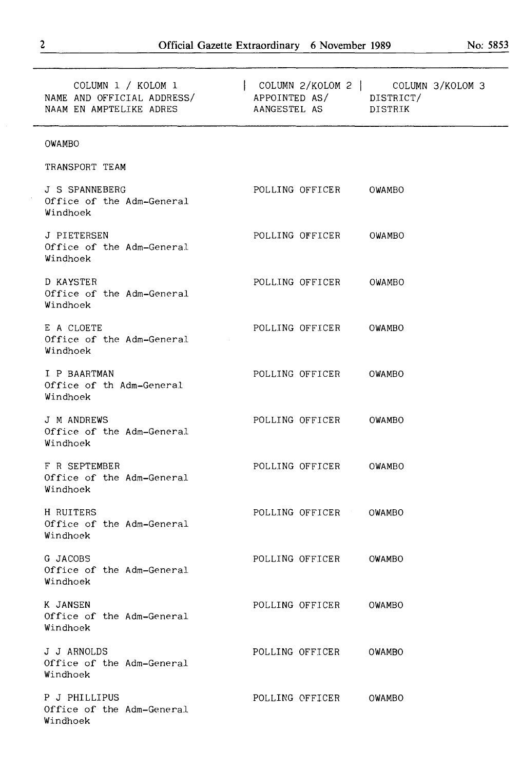COLUMN 3/KOLOM 3 DISTRICT/ DISTRIK

#### OWAMBO

 $\bar{\gamma}$ 

#### TRANSPORT TEAM

NAME AND OFFICIAL ADDRESS/ NAAM EN AMPTELIKE ADRES

| J S SPANNEBERG<br>Office of the Adm-General<br>Windhoek | POLLING OFFICER OWAMBO |        |
|---------------------------------------------------------|------------------------|--------|
| J PIETERSEN<br>Office of the Adm-General<br>Windhoek    | POLLING OFFICER OWAMBO |        |
| D KAYSTER<br>Office of the Adm-General<br>Windhoek      | POLLING OFFICER OWAMBO |        |
| E A CLOETE<br>Office of the Adm-General<br>Windhoek     | POLLING OFFICER OWAMBO |        |
| I P BAARTMAN<br>Office of th Adm-General<br>Windhoek    | POLLING OFFICER OWAMBO |        |
| J M ANDREWS<br>Office of the Adm-General<br>Windhoek    | POLLING OFFICER OWAMBO |        |
| F R SEPTEMBER<br>Office of the Adm-General<br>Windhoek  | POLLING OFFICER OWAMBO |        |
| H RUITERS<br>Office of the Adm-General<br>Windhoek      | POLLING OFFICER OWAMBO |        |
| G JACOBS<br>Office of the Adm-General<br>Windhoek       | POLLING OFFICER OWAMBO |        |
| K JANSEN<br>Office of the Adm-General<br>Windhoek       | POLLING OFFICER OWAMBO |        |
| J J ARNOLDS<br>Office of the Adm-General<br>Windhoek    | POLLING OFFICER        | OWAMBO |
| P J PHILLIPUS<br>Office of the Adm-General<br>Windhoek  | POLLING OFFICER        | OWAMBO |